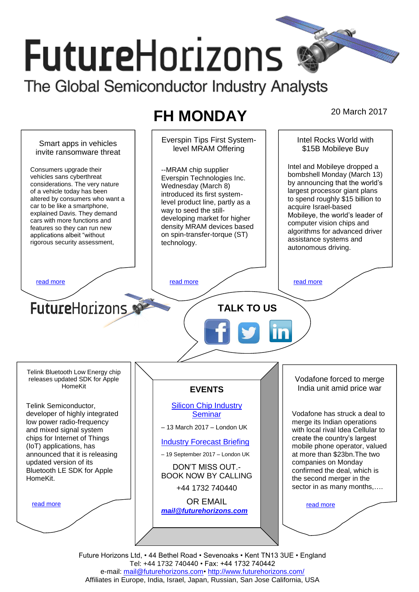# **FutureHorizons** The Global Semiconductor Industry Analysts

## **FH MONDAY** 20 March 2017

Everspin Tips First System-Intel Rocks World with Smart apps in vehicles level MRAM Offering \$15B Mobileye Buy invite ransomware threat Intel and Mobileye dropped a Consumers upgrade their --MRAM chip supplier bombshell Monday (March 13) vehicles sans cyberthreat Everspin Technologies Inc. by announcing that the world's considerations. The very nature Wednesday (March 8) largest processor giant plans of a vehicle today has been introduced its first systemaltered by consumers who want a to spend roughly \$15 billion to level product line, partly as a car to be like a smartphone, acquire Israel-based way to seed the stillexplained Davis. They demand Mobileye, the world's leader of developing market for higher cars with more functions and computer vision chips and density MRAM devices based features so they can run new algorithms for advanced driver on spin-transfer-torque (ST) applications albeit "without assistance systems and rigorous security assessment, technology. autonomous driving. [read more](#page-1-1) that the second contract the second contract of the read more that the read more that the read more **Future**Horizons **TALK TO US** Telink Bluetooth Low Energy chip releases updated SDK for Apple Vodafone forced to merge HomeKit India unit amid price war **EVENTS** Telink Semiconductor, [Silicon Chip Industry](http://www.futurehorizons.com/page/12/silicon-chip-training)  developer of highly integrated **[Seminar](http://www.futurehorizons.com/page/12/silicon-chip-training)** Vodafone has struck a deal to low power radio-frequency merge its Indian operations – 13 March 2017 – London UK and mixed signal system with local rival Idea Cellular to chips for Internet of Things create the country's largest [Industry Forecast Briefing](http://www.futurehorizons.com/page/13/Semiconductor-Market-Forecast-Seminar) (IoT) applications, has mobile phone operator, valued announced that it is releasing – 19 September 2017 – London UK at more than \$23bn.The two companies on Monday updated version of its DON'T MISS OUT.- Bluetooth LE SDK for Apple confirmed the deal, which is BOOK NOW BY CALLING HomeKit.the second merger in the sector in as many months,.... +44 1732 740440 OR EMAIL [read more](#page-1-3) [read more](#page-1-4) *[mail@futurehorizons.com](mailto:mail@futurehorizons.com)*

Future Horizons Ltd, • 44 Bethel Road • Sevenoaks • Kent TN13 3UE • England Tel: +44 1732 740440 • Fax: +44 1732 740442 e-mail: mail@futurehorizons.com• http://www.futurehorizons.com/ Affiliates in Europe, India, Israel, Japan, Russian, San Jose California, USA